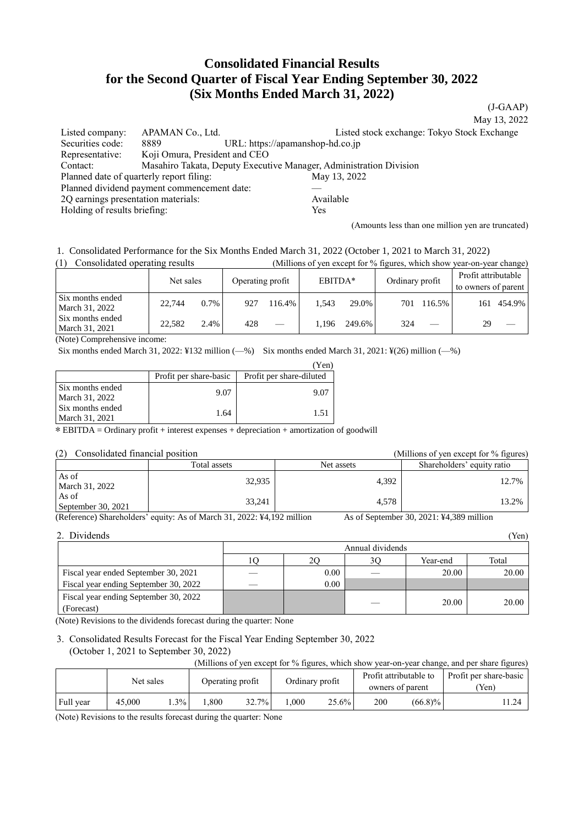## **Consolidated Financial Results for the Second Quarter of Fiscal Year Ending September 30, 2022 (Six Months Ended March 31, 2022)**

(J-GAAP)

May 13, 2022

Listed company: APAMAN Co., Ltd. Listed stock exchange: Tokyo Stock Exchange Securities code: 8889 URL: https://apamanshop-hd.co.jp Representative: Koji Omura, President and CEO Contact: Masahiro Takata, Deputy Executive Manager, Administration Division Planned date of quarterly report filing: May 13, 2022 Planned dividend payment commencement date: 2Q earnings presentation materials: Available Holding of results briefing: Yes

(Amounts less than one million yen are truncated)

## 1. Consolidated Performance for the Six Months Ended March 31, 2022 (October 1, 2021 to March 31, 2022)

(1) Consolidated operating results (Millions of yen except for % figures, which show year-on-year change)

|                                    | Net sales |         | Operating profit |       | EBITDA* |        | Ordinary profit |        | Profit attributable<br>to owners of parent |        |
|------------------------------------|-----------|---------|------------------|-------|---------|--------|-----------------|--------|--------------------------------------------|--------|
| Six months ended<br>March 31, 2022 | 22.744    | $0.7\%$ | 927              | 16.4% | 1.543   | 29.0%  | 701             | 116.5% | 161                                        | 454.9% |
| Six months ended<br>March 31, 2021 | 22.582    | 2.4%    | 428              |       | 1.196   | 249.6% | 324             |        | 29                                         |        |

(Note) Comprehensive income:

Six months ended March 31, 2022: ¥132 million (—%) Six months ended March 31, 2021: ¥(26) million (—%)

|                                    |                        | Yen                      |
|------------------------------------|------------------------|--------------------------|
|                                    | Profit per share-basic | Profit per share-diluted |
| Six months ended<br>March 31, 2022 | 9.07                   | 9.07                     |
| Six months ended<br>March 31, 2021 | 1.64                   | 1.51                     |

\* EBITDA = Ordinary profit + interest expenses + depreciation + amortization of goodwill

| Consolidated financial position<br>(2) |              | (Millions of yen except for % figures) |                            |  |  |
|----------------------------------------|--------------|----------------------------------------|----------------------------|--|--|
|                                        | Total assets | Net assets                             | Shareholders' equity ratio |  |  |
| As of<br>March 31, 2022                | 32,935       | 4,392                                  | 12.7%                      |  |  |
| As of<br>September 30, 2021            | 33,241       | 4.578                                  | 13.2%                      |  |  |

(Reference) Shareholders' equity: As of March 31, 2022: ¥4,192 million As of September 30, 2021: ¥4,389 million

| 2. Dividends                                        |                  |      |    |          | (Yen) |  |  |  |
|-----------------------------------------------------|------------------|------|----|----------|-------|--|--|--|
|                                                     | Annual dividends |      |    |          |       |  |  |  |
|                                                     |                  |      | 30 | Year-end | Total |  |  |  |
| Fiscal year ended September 30, 2021                |                  | 0.00 |    | 20.00    | 20.00 |  |  |  |
| Fiscal year ending September 30, 2022               |                  | 0.00 |    |          |       |  |  |  |
| Fiscal year ending September 30, 2022<br>(Forecast) |                  |      |    | 20.00    | 20.00 |  |  |  |

(Note) Revisions to the dividends forecast during the quarter: None

3. Consolidated Results Forecast for the Fiscal Year Ending September 30, 2022 (October 1, 2021 to September 30, 2022)

| (Millions of ven except for % figures, which show year-on-year change, and per share figures) |  |  |  |
|-----------------------------------------------------------------------------------------------|--|--|--|
|                                                                                               |  |  |  |

|           | Net sales |                    | Operating profit |          | Ordinary profit |       | Profit attributable to<br>owners of parent |            | Profit per share-basic<br>'Yen) |
|-----------|-----------|--------------------|------------------|----------|-----------------|-------|--------------------------------------------|------------|---------------------------------|
| Full vear | 45,000    | $3\%$ <sub>1</sub> | .800             | $32.7\%$ | .000            | 25.6% | 200                                        | $(66.8)\%$ | 1.24                            |

(Note) Revisions to the results forecast during the quarter: None